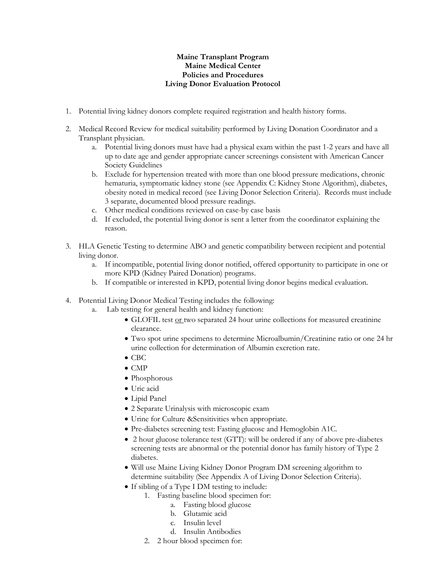## **Maine Transplant Program Maine Medical Center Policies and Procedures Living Donor Evaluation Protocol**

- 1. Potential living kidney donors complete required registration and health history forms.
- 2. Medical Record Review for medical suitability performed by Living Donation Coordinator and a Transplant physician.
	- a. Potential living donors must have had a physical exam within the past 1-2 years and have all up to date age and gender appropriate cancer screenings consistent with American Cancer Society Guidelines
	- b. Exclude for hypertension treated with more than one blood pressure medications, chronic hematuria, symptomatic kidney stone (see Appendix C: Kidney Stone Algorithm), diabetes, obesity noted in medical record (see Living Donor Selection Criteria). Records must include 3 separate, documented blood pressure readings.
	- c. Other medical conditions reviewed on case-by case basis
	- d. If excluded, the potential living donor is sent a letter from the coordinator explaining the reason.
- 3. HLA Genetic Testing to determine ABO and genetic compatibility between recipient and potential living donor.
	- a. If incompatible, potential living donor notified, offered opportunity to participate in one or more KPD (Kidney Paired Donation) programs.
	- b. If compatible or interested in KPD, potential living donor begins medical evaluation.
- 4. Potential Living Donor Medical Testing includes the following:
	- a. Lab testing for general health and kidney function:
		- GLOFIL test or two separated 24 hour urine collections for measured creatinine clearance.
		- Two spot urine specimens to determine Microalbumin/Creatinine ratio or one 24 hr urine collection for determination of Albumin excretion rate.
		- $\bullet$  CBC
		- $\bullet$  CMP
		- Phosphorous
		- Uric acid
		- Lipid Panel
		- 2 Separate Urinalysis with microscopic exam
		- Urine for Culture &Sensitivities when appropriate.
		- Pre-diabetes screening test: Fasting glucose and Hemoglobin A1C.
		- 2 hour glucose tolerance test (GTT): will be ordered if any of above pre-diabetes screening tests are abnormal or the potential donor has family history of Type 2 diabetes.
		- Will use Maine Living Kidney Donor Program DM screening algorithm to determine suitability (See Appendix A of Living Donor Selection Criteria).
		- If sibling of a Type I DM testing to include:
			- 1. Fasting baseline blood specimen for:
				- a. Fasting blood glucose
				- b. Glutamic acid
				- c. Insulin level
				- d. Insulin Antibodies
			- 2. 2 hour blood specimen for: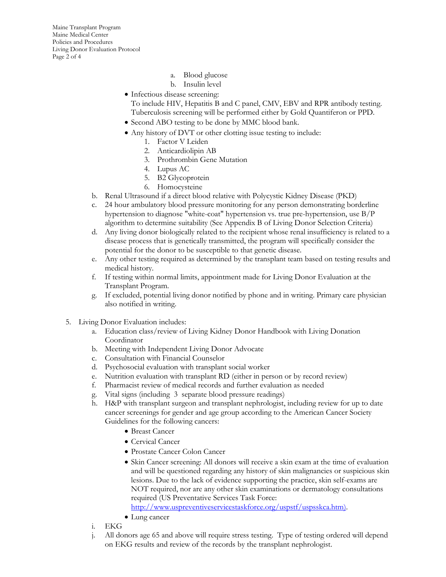Maine Transplant Program Maine Medical Center Policies and Procedures Living Donor Evaluation Protocol Page 2 of 4

- a. Blood glucose
- b. Insulin level
- Infectious disease screening:
	- To include HIV, Hepatitis B and C panel, CMV, EBV and RPR antibody testing. Tuberculosis screening will be performed either by Gold Quantiferon or PPD.
- Second ABO testing to be done by MMC blood bank.
- Any history of DVT or other clotting issue testing to include:
	- 1. Factor V Leiden
	- 2. Anticardiolipin AB
	- 3. Prothrombin Gene Mutation
	- 4. Lupus AC
	- 5. B2 Glycoprotein
	- 6. Homocysteine
- b. Renal Ultrasound if a direct blood relative with Polycystic Kidney Disease (PKD)
- c. 24 hour ambulatory blood pressure monitoring for any person demonstrating borderline hypertension to diagnose "white-coat" hypertension vs. true pre-hypertension, use B/P algorithm to determine suitability (See Appendix B of Living Donor Selection Criteria)
- d. Any living donor biologically related to the recipient whose renal insufficiency is related to a disease process that is genetically transmitted, the program will specifically consider the potential for the donor to be susceptible to that genetic disease.
- e. Any other testing required as determined by the transplant team based on testing results and medical history.
- f. If testing within normal limits, appointment made for Living Donor Evaluation at the Transplant Program.
- g. If excluded, potential living donor notified by phone and in writing. Primary care physician also notified in writing.
- 5. Living Donor Evaluation includes:
	- a. Education class/review of Living Kidney Donor Handbook with Living Donation Coordinator
	- b. Meeting with Independent Living Donor Advocate
	- c. Consultation with Financial Counselor
	- d. Psychosocial evaluation with transplant social worker
	- e. Nutrition evaluation with transplant RD (either in person or by record review)
	- f. Pharmacist review of medical records and further evaluation as needed
	- g. Vital signs (including 3 separate blood pressure readings)
	- h. H&P with transplant surgeon and transplant nephrologist, including review for up to date cancer screenings for gender and age group according to the American Cancer Society Guidelines for the following cancers:
		- Breast Cancer
		- Cervical Cancer
		- Prostate Cancer Colon Cancer
		- Skin Cancer screening: All donors will receive a skin exam at the time of evaluation and will be questioned regarding any history of skin malignancies or suspicious skin lesions. Due to the lack of evidence supporting the practice, skin self-exams are NOT required, nor are any other skin examinations or dermatology consultations required (US Preventative Services Task Force: [http://www.uspreventiveservicestaskforce.org/uspstf/uspsskca.htm\)](http://www.uspreventiveservicestaskforce.org/uspstf/uspsskca.htm).
		- Lung cancer
	- i. EKG
	- j. All donors age 65 and above will require stress testing. Type of testing ordered will depend on EKG results and review of the records by the transplant nephrologist.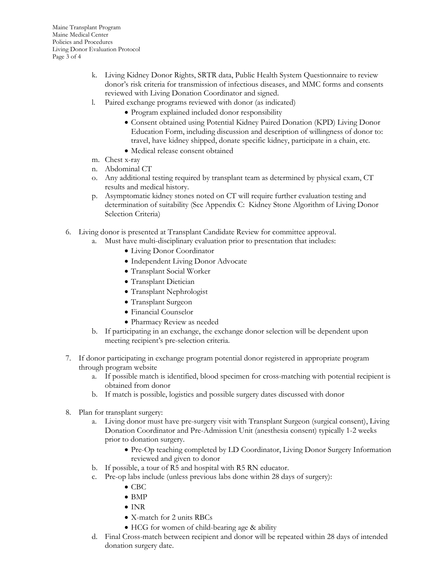- k. Living Kidney Donor Rights, SRTR data, Public Health System Questionnaire to review donor's risk criteria for transmission of infectious diseases, and MMC forms and consents reviewed with Living Donation Coordinator and signed.
- l. Paired exchange programs reviewed with donor (as indicated)
	- Program explained included donor responsibility
	- Consent obtained using Potential Kidney Paired Donation (KPD) Living Donor Education Form, including discussion and description of willingness of donor to: travel, have kidney shipped, donate specific kidney, participate in a chain, etc.
	- Medical release consent obtained
- m. Chest x-ray
- n. Abdominal CT
- o. Any additional testing required by transplant team as determined by physical exam, CT results and medical history.
- p. Asymptomatic kidney stones noted on CT will require further evaluation testing and determination of suitability (See Appendix C: Kidney Stone Algorithm of Living Donor Selection Criteria)
- 6. Living donor is presented at Transplant Candidate Review for committee approval.
	- a. Must have multi-disciplinary evaluation prior to presentation that includes:
		- Living Donor Coordinator
		- Independent Living Donor Advocate
		- Transplant Social Worker
		- Transplant Dietician
		- Transplant Nephrologist
		- Transplant Surgeon
		- Financial Counselor
		- Pharmacy Review as needed
	- b. If participating in an exchange, the exchange donor selection will be dependent upon meeting recipient's pre-selection criteria.
- 7. If donor participating in exchange program potential donor registered in appropriate program through program website
	- a. If possible match is identified, blood specimen for cross-matching with potential recipient is obtained from donor
	- b. If match is possible, logistics and possible surgery dates discussed with donor
- 8. Plan for transplant surgery:
	- a. Living donor must have pre-surgery visit with Transplant Surgeon (surgical consent), Living Donation Coordinator and Pre-Admission Unit (anesthesia consent) typically 1-2 weeks prior to donation surgery.
		- Pre-Op teaching completed by LD Coordinator, Living Donor Surgery Information reviewed and given to donor
	- b. If possible, a tour of R5 and hospital with R5 RN educator.
	- c. Pre-op labs include (unless previous labs done within 28 days of surgery):
		- $\bullet$  CBC
		- BMP
		- INR
		- X-match for 2 units RBCs
		- HCG for women of child-bearing age & ability
	- d. Final Cross-match between recipient and donor will be repeated within 28 days of intended donation surgery date.